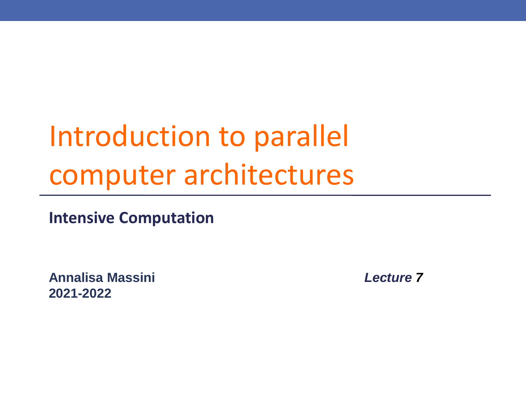## Introduction to parallel computer architectures

**Intensive Computation**

**Annalisa Massini** *Lecture 7* **2021-2022**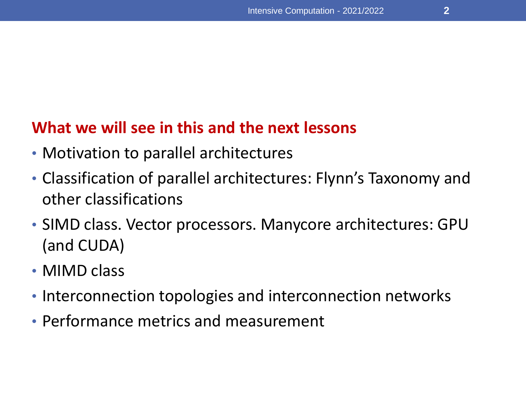#### **What we will see in this and the next lessons**

- Motivation to parallel architectures
- Classification of parallel architectures: Flynn's Taxonomy and other classifications
- SIMD class. Vector processors. Manycore architectures: GPU (and CUDA)
- MIMD class
- Interconnection topologies and interconnection networks
- Performance metrics and measurement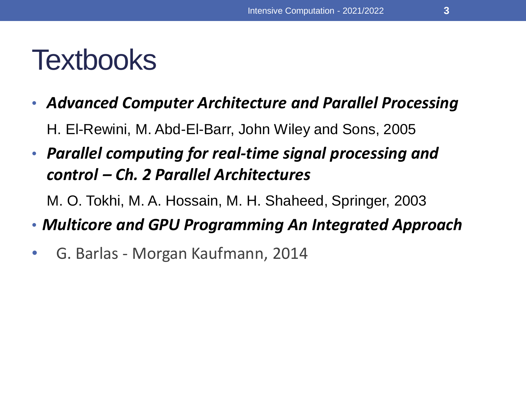## **Textbooks**

• *Advanced Computer Architecture and Parallel Processing*

H. El-Rewini, M. Abd-El-Barr, John Wiley and Sons, 2005

• *Parallel computing for real-time signal processing and control – Ch. 2 Parallel Architectures*

M. O. Tokhi, M. A. Hossain, M. H. Shaheed, Springer, 2003

- *Multicore and GPU Programming An Integrated Approach*
- G. Barlas Morgan Kaufmann, 2014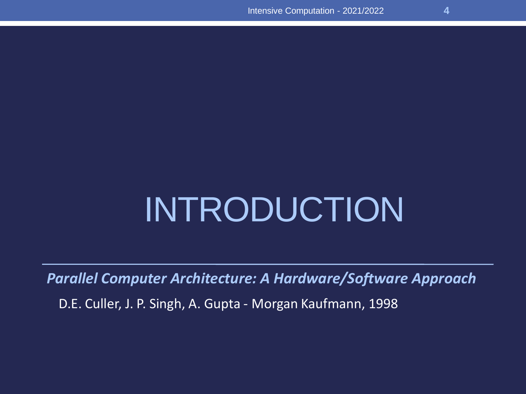# INTRODUCTION

*Parallel Computer Architecture: A Hardware/Software Approach*

D.E. Culler, J. P. Singh, A. Gupta - Morgan Kaufmann, 1998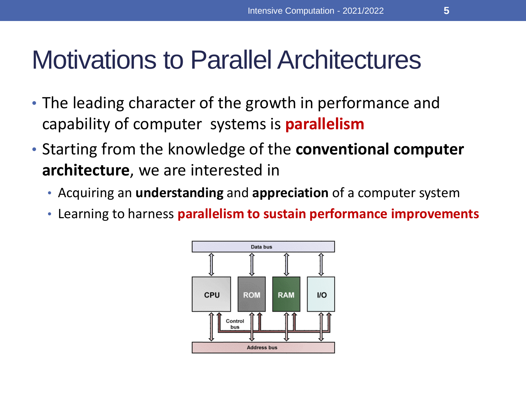- The leading character of the growth in performance and capability of computer systems is **parallelism**
- Starting from the knowledge of the **conventional computer architecture**, we are interested in
	- Acquiring an **understanding** and **appreciation** of a computer system
	- Learning to harness **parallelism to sustain performance improvements**

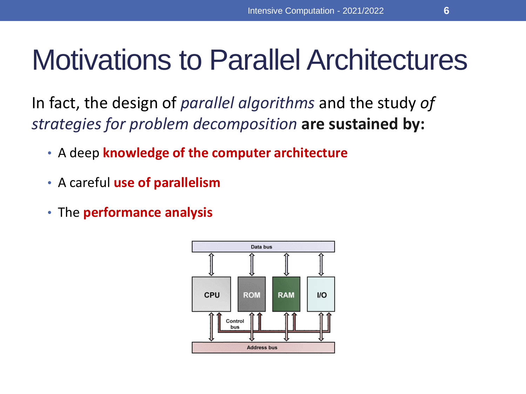In fact, the design of *parallel algorithms* and the study *of strategies for problem decomposition* **are sustained by:**

- A deep **knowledge of the computer architecture**
- A careful **use of parallelism**
- The **performance analysis**

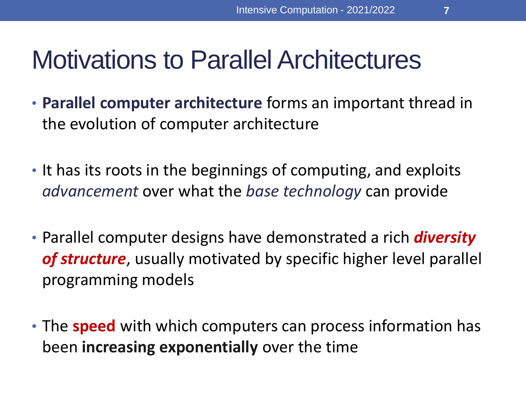- **Parallel computer architecture** forms an important thread in the evolution of computer architecture
- It has its roots in the beginnings of computing, and exploits *advancement* over what the *base technology* can provide
- Parallel computer designs have demonstrated a rich *diversity of structure*, usually motivated by specific higher level parallel programming models
- The **speed** with which computers can process information has been **increasing exponentially** over the time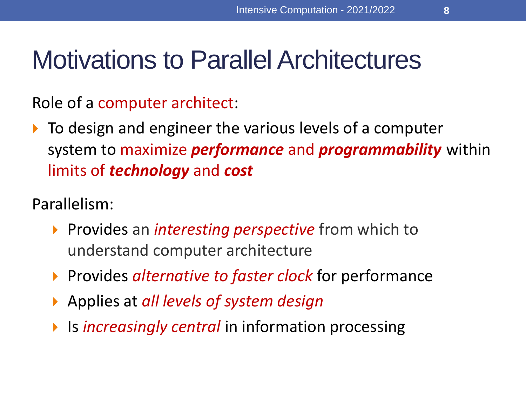Role of a computer architect:

 $\triangleright$  To design and engineer the various levels of a computer system to maximize *performance* and *programmability* within limits of *technology* and *cost*

Parallelism:

- **Provides an** *interesting perspective* from which to understand computer architecture
- **Provides** *alternative to faster clock* for performance
- Applies at *all levels of system design*
- **IF Is** *increasingly central* in information processing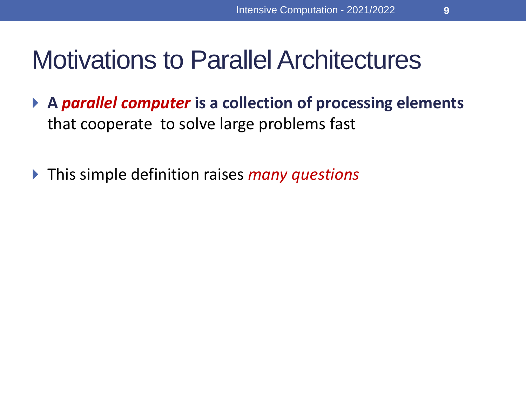**9**

## Motivations to Parallel Architectures

- **A** *parallel computer* **is a collection of processing elements**  that cooperate to solve large problems fast
- This simple definition raises *many questions*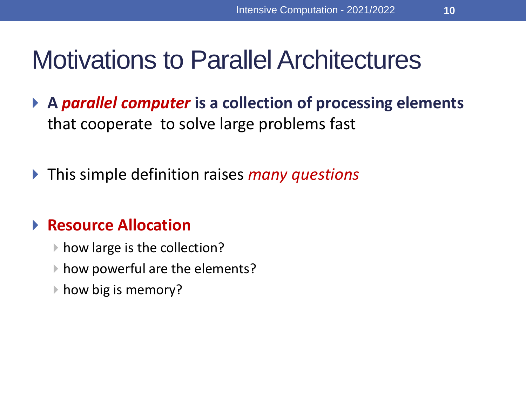- **A** *parallel computer* **is a collection of processing elements**  that cooperate to solve large problems fast
- This simple definition raises *many questions*

#### **Resource Allocation**

- ▶ how large is the collection?
- ▶ how powerful are the elements?
- **▶ how big is memory?**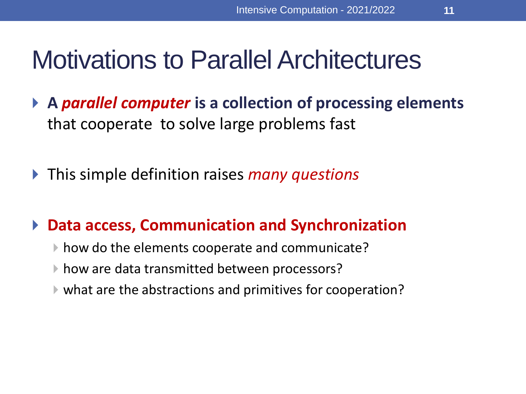- **A** *parallel computer* **is a collection of processing elements**  that cooperate to solve large problems fast
- This simple definition raises *many questions*

#### **Data access, Communication and Synchronization**

- ▶ how do the elements cooperate and communicate?
- ▶ how are data transmitted between processors?
- what are the abstractions and primitives for cooperation?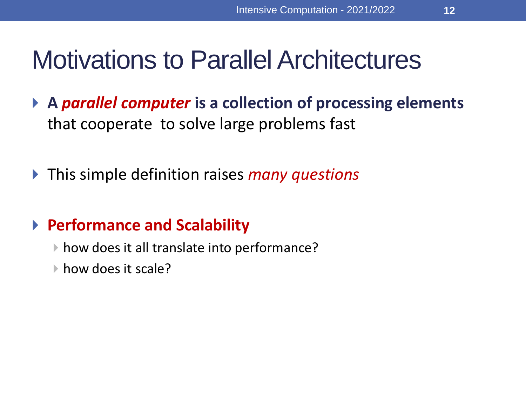- **A** *parallel computer* **is a collection of processing elements**  that cooperate to solve large problems fast
- This simple definition raises *many questions*

#### **Performance and Scalability**

- ▶ how does it all translate into performance?
- how does it scale?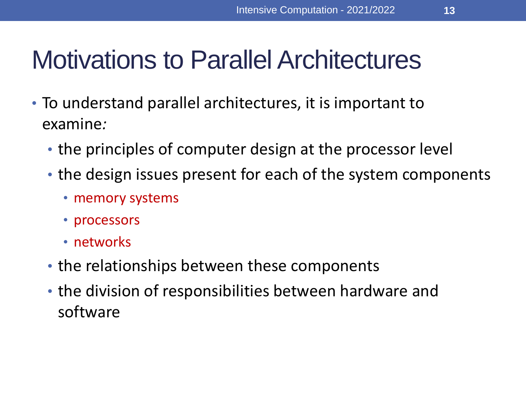- To understand parallel architectures, it is important to examine*:*
	- the principles of computer design at the processor level
	- the design issues present for each of the system components
		- memory systems
		- processors
		- networks
	- the relationships between these components
	- the division of responsibilities between hardware and software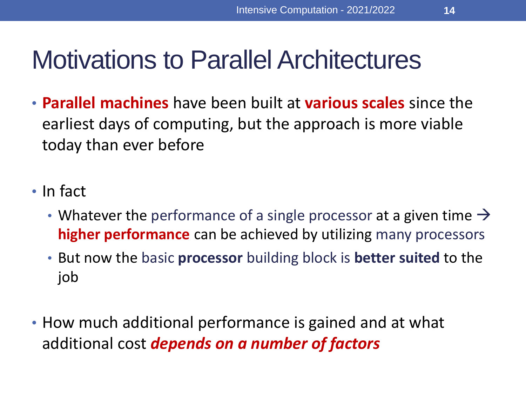- **Parallel machines** have been built at **various scales** since the earliest days of computing, but the approach is more viable today than ever before
- In fact
	- Whatever the performance of a single processor at a given time  $\rightarrow$ **higher performance** can be achieved by utilizing many processors
	- But now the basic **processor** building block is **better suited** to the job
- How much additional performance is gained and at what additional cost *depends on a number of factors*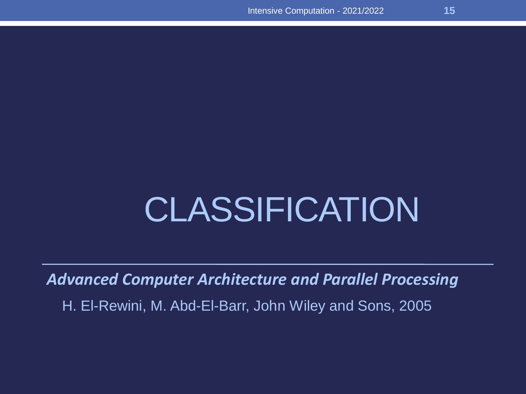# CLASSIFICATION

*Advanced Computer Architecture and Parallel Processing*

H. El-Rewini, M. Abd-El-Barr, John Wiley and Sons, 2005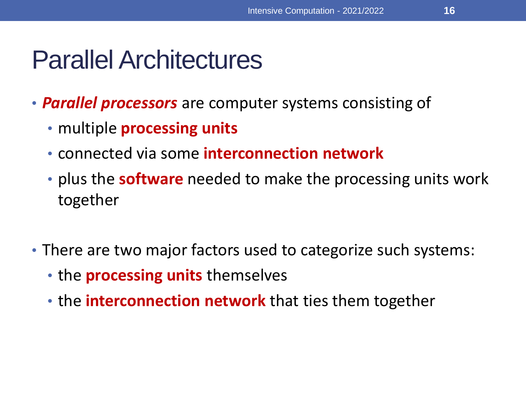- *Parallel processors* are computer systems consisting of
	- multiple **processing units**
	- connected via some **interconnection network**
	- plus the **software** needed to make the processing units work together
- There are two major factors used to categorize such systems:
	- the **processing units** themselves
	- the **interconnection network** that ties them together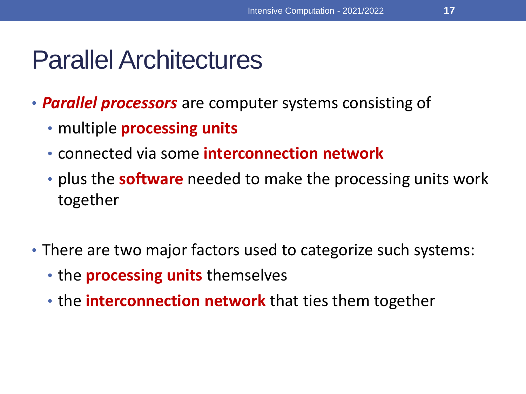- *Parallel processors* are computer systems consisting of
	- multiple **processing units**
	- connected via some **interconnection network**
	- plus the **software** needed to make the processing units work together
- There are two major factors used to categorize such systems:
	- the **processing units** themselves
	- the **interconnection network** that ties them together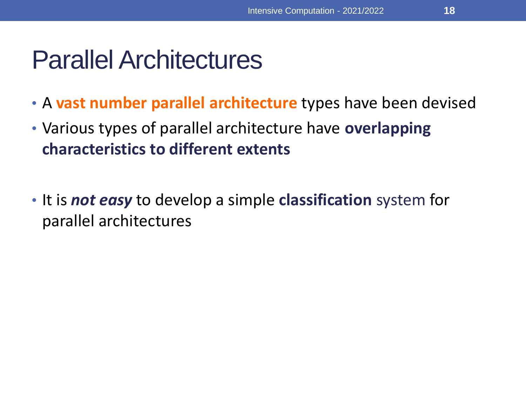- A **vast number parallel architecture** types have been devised
- Various types of parallel architecture have **overlapping characteristics to different extents**
- It is *not easy* to develop a simple **classification** system for parallel architectures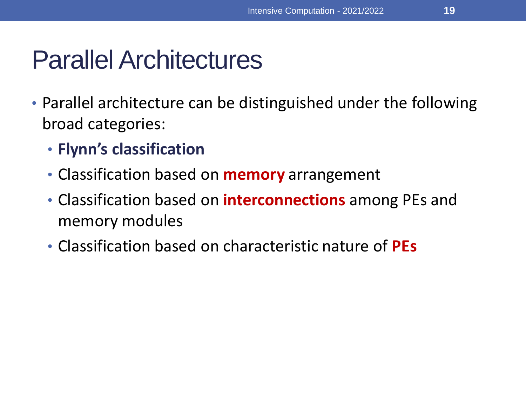- Parallel architecture can be distinguished under the following broad categories:
	- **Flynn's classification**
	- Classification based on **memory** arrangement
	- Classification based on **interconnections** among PEs and memory modules
	- Classification based on characteristic nature of **PEs**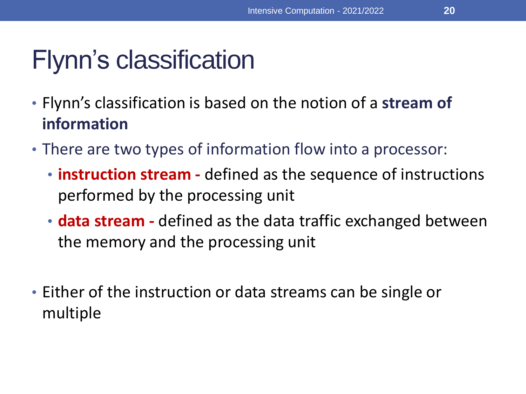## Flynn's classification

- Flynn's classification is based on the notion of a **stream of information**
- There are two types of information flow into a processor:
	- **instruction stream -** defined as the sequence of instructions performed by the processing unit
	- **data stream -** defined as the data traffic exchanged between the memory and the processing unit
- Either of the instruction or data streams can be single or multiple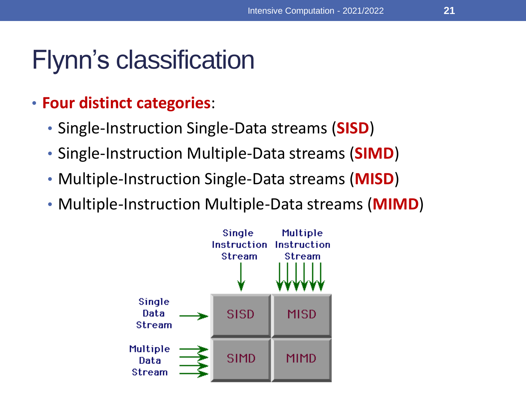## Flynn's classification

- **Four distinct categories**:
	- Single-Instruction Single-Data streams (**SISD**)
	- Single-Instruction Multiple-Data streams (**SIMD**)
	- Multiple-Instruction Single-Data streams (**MISD**)
	- Multiple-Instruction Multiple-Data streams (**MIMD**)

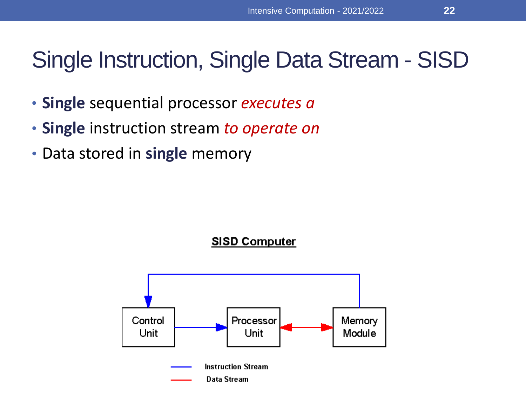### Single Instruction, Single Data Stream - SISD

- **Single** sequential processor *executes a*
- **Single** instruction stream *to operate on*
- Data stored in **single** memory



**SISD Computer**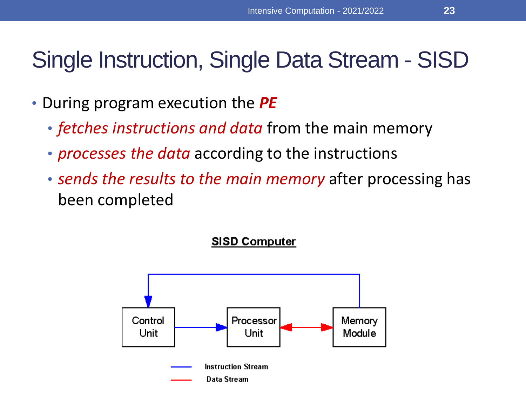## Single Instruction, Single Data Stream - SISD

- During program execution the *PE* 
	- *fetches instructions and data* from the main memory
	- *processes the data* according to the instructions
	- *sends the results to the main memory* after processing has been completed

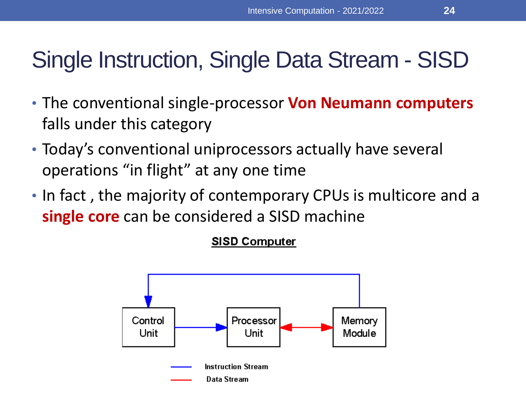### Single Instruction, Single Data Stream - SISD

- The conventional single-processor **Von Neumann computers**  falls under this category
- Today's conventional uniprocessors actually have several operations "in flight" at any one time
- In fact , the majority of contemporary CPUs is multicore and a **single core** can be considered a SISD machine

#### **SISD Computer**

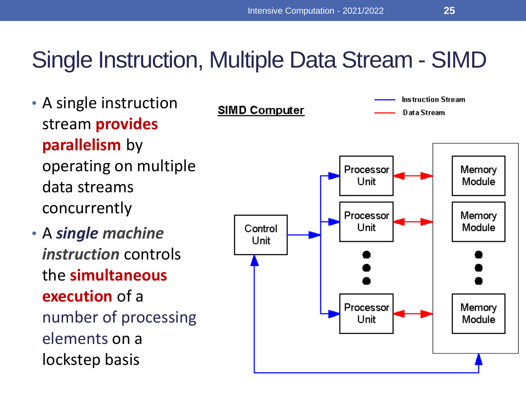#### Single Instruction, Multiple Data Stream - SIMD

- A single instruction stream **provides parallelism** by operating on multiple data streams concurrently
- A *single machine instruction* controls the **simultaneous execution** of a number of processing elements on a lockstep basis

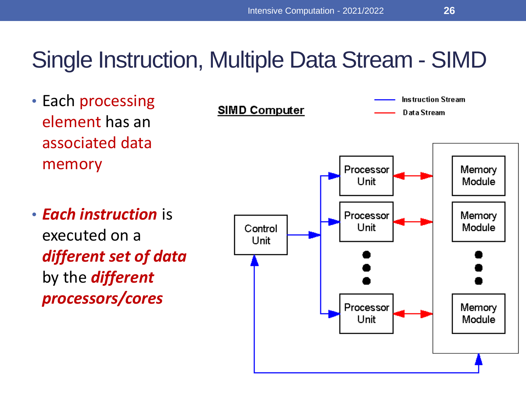#### Single Instruction, Multiple Data Stream - SIMD

- Each processing element has an associated data memory
- *Each instruction* is executed on a *different set of data*  by the *different processors/cores*

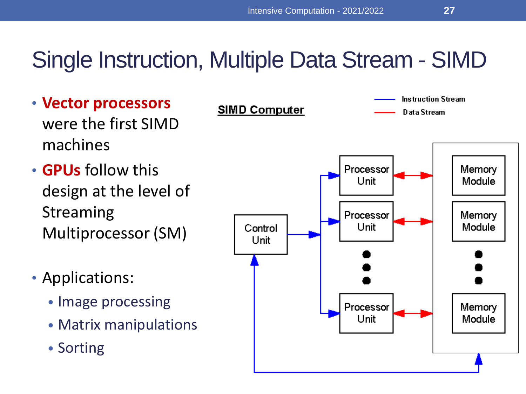#### Single Instruction, Multiple Data Stream - SIMD

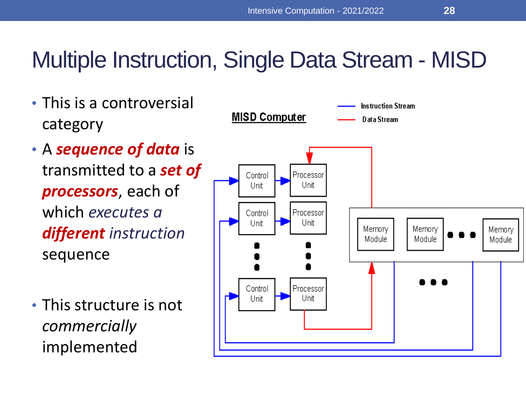#### Multiple Instruction, Single Data Stream - MISD

• This is a controversial **Instruction Stream MISD Computer** Data Stream category • A *sequence of data* is transmitted to a *set of*  Processor Control Unit Unit *processors*, each of which *executes a*  Control Processor Unit Unit Memory Memory Memory *different instruction*  Module Module Module sequence Control Processor Unit Unit • This structure is not *commercially* implemented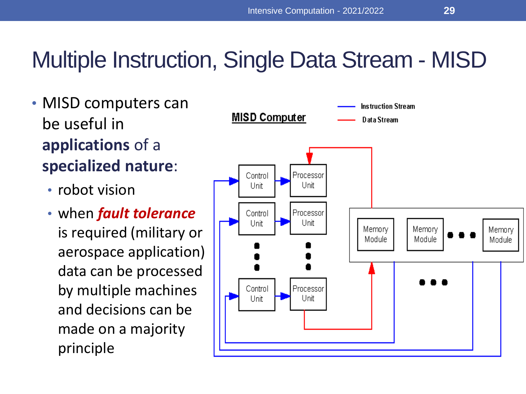### Multiple Instruction, Single Data Stream - MISD

- MISD computers can be useful in **applications** of a **specialized nature**:
	- robot vision
	- when *fault tolerance*  is required (military or aerospace application) data can be processed by multiple machines and decisions can be made on a majority principle

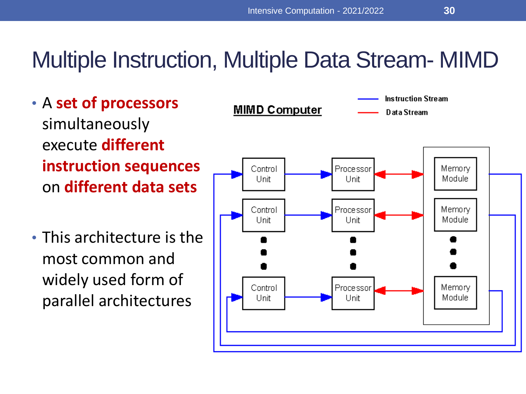#### Multiple Instruction, Multiple Data Stream- MIMD

- A **set of processors**  simultaneously execute **different instruction sequences** on **different data sets**
- This architecture is the most common and widely used form of parallel architectures

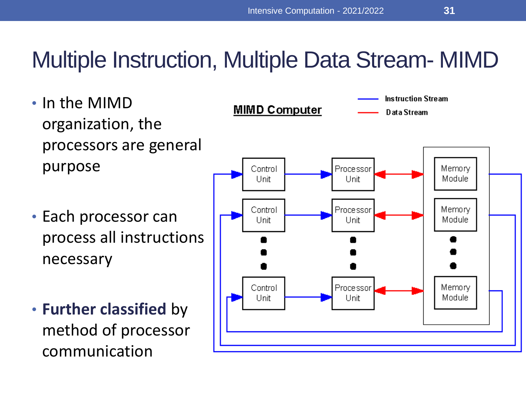#### Multiple Instruction, Multiple Data Stream- MIMD

- In the MIMD organization, the processors are general purpose
- Each processor can process all instructions necessary
- **Further classified** by method of processor communication

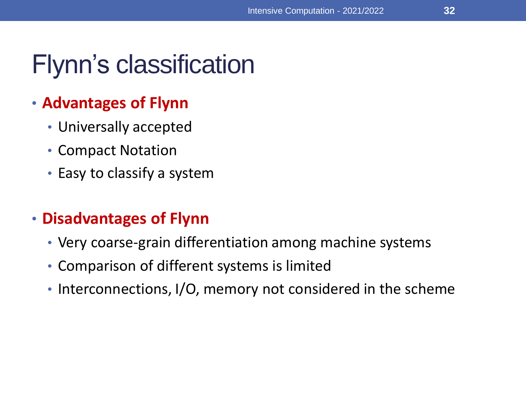## Flynn's classification

#### • **Advantages of Flynn**

- Universally accepted
- Compact Notation
- Easy to classify a system

#### • **Disadvantages of Flynn**

- Very coarse-grain differentiation among machine systems
- Comparison of different systems is limited
- Interconnections, I/O, memory not considered in the scheme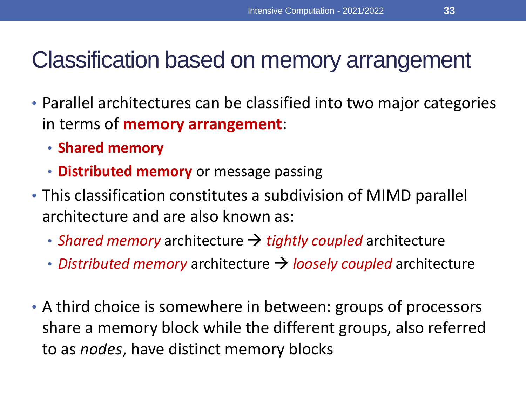### Classification based on memory arrangement

- Parallel architectures can be classified into two major categories in terms of **memory arrangement**:
	- **Shared memory**
	- **Distributed memory** or message passing
- This classification constitutes a subdivision of MIMD parallel architecture and are also known as:
	- *Shared memory* architecture → *tightly coupled* architecture
	- *Distributed memory* architecture → *loosely coupled* architecture
- A third choice is somewhere in between: groups of processors share a memory block while the different groups, also referred to as *nodes*, have distinct memory blocks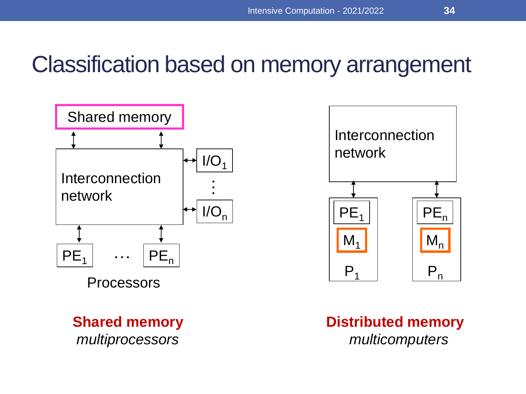#### Classification based on memory arrangement



**Shared memory**  *multiprocessors*



#### **Distributed memory**  *multicomputers*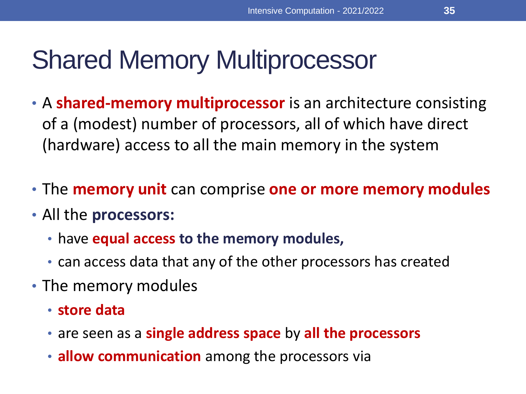- A **shared-memory multiprocessor** is an architecture consisting of a (modest) number of processors, all of which have direct (hardware) access to all the main memory in the system
- The **memory unit** can comprise **one or more memory modules**
- All the **processors:**
	- have **equal access to the memory modules,**
	- can access data that any of the other processors has created
- The memory modules
	- **store data**
	- are seen as a **single address space** by **all the processors**
	- **allow communication** among the processors via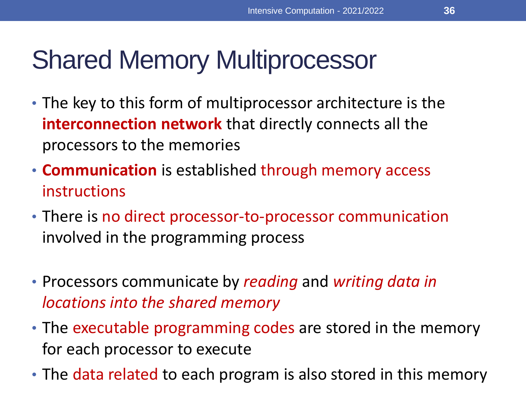- The key to this form of multiprocessor architecture is the **interconnection network** that directly connects all the processors to the memories
- **Communication** is established through memory access instructions
- There is no direct processor-to-processor communication involved in the programming process
- Processors communicate by *reading* and *writing data in locations into the shared memory*
- The executable programming codes are stored in the memory for each processor to execute
- The data related to each program is also stored in this memory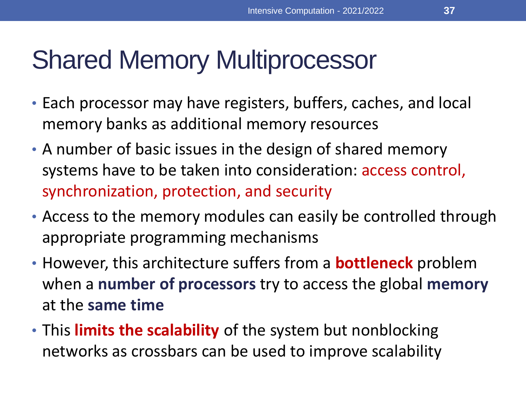- Each processor may have registers, buffers, caches, and local memory banks as additional memory resources
- A number of basic issues in the design of shared memory systems have to be taken into consideration: access control, synchronization, protection, and security
- Access to the memory modules can easily be controlled through appropriate programming mechanisms
- However, this architecture suffers from a **bottleneck** problem when a **number of processors** try to access the global **memory** at the **same time**
- This **limits the scalability** of the system but nonblocking networks as crossbars can be used to improve scalability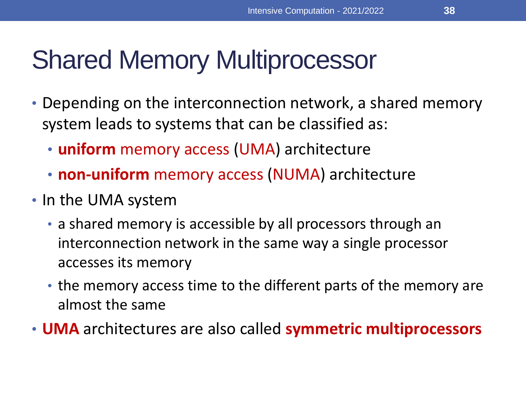- Depending on the interconnection network, a shared memory system leads to systems that can be classified as:
	- **uniform** memory access (UMA) architecture
	- **non-uniform** memory access (NUMA) architecture
- In the UMA system
	- a shared memory is accessible by all processors through an interconnection network in the same way a single processor accesses its memory
	- the memory access time to the different parts of the memory are almost the same
- **UMA** architectures are also called **symmetric multiprocessors**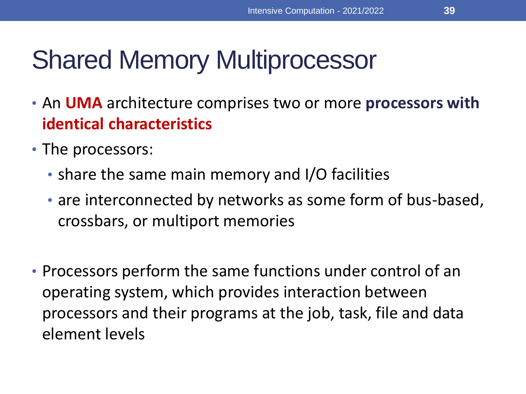- An **UMA** architecture comprises two or more **processors with identical characteristics**
- The processors:
	- share the same main memory and I/O facilities
	- are interconnected by networks as some form of bus-based, crossbars, or multiport memories
- Processors perform the same functions under control of an operating system, which provides interaction between processors and their programs at the job, task, file and data element levels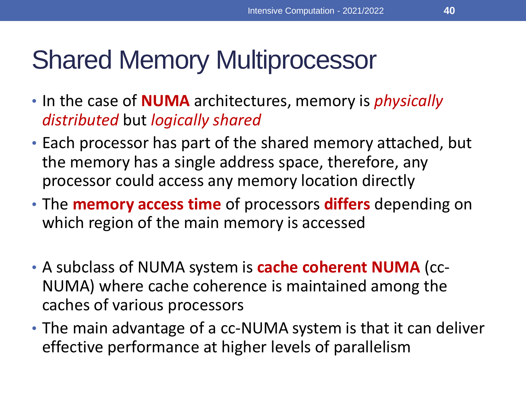- In the case of **NUMA** architectures, memory is *physically distributed* but *logically shared*
- Each processor has part of the shared memory attached, but the memory has a single address space, therefore, any processor could access any memory location directly
- The **memory access time** of processors **differs** depending on which region of the main memory is accessed
- A subclass of NUMA system is **cache coherent NUMA** (cc-NUMA) where cache coherence is maintained among the caches of various processors
- The main advantage of a cc-NUMA system is that it can deliver effective performance at higher levels of parallelism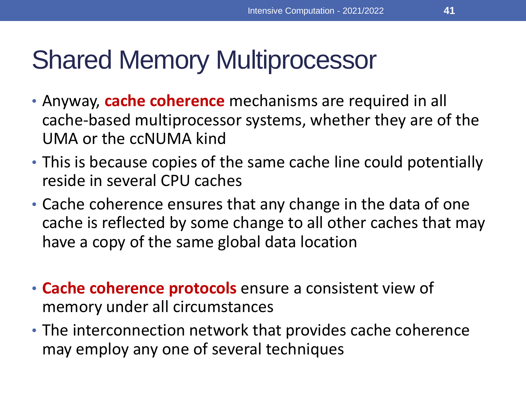- Anyway, **cache coherence** mechanisms are required in all cache-based multiprocessor systems, whether they are of the UMA or the ccNUMA kind
- This is because copies of the same cache line could potentially reside in several CPU caches
- Cache coherence ensures that any change in the data of one cache is reflected by some change to all other caches that may have a copy of the same global data location
- **Cache coherence protocols** ensure a consistent view of memory under all circumstances
- The interconnection network that provides cache coherence may employ any one of several techniques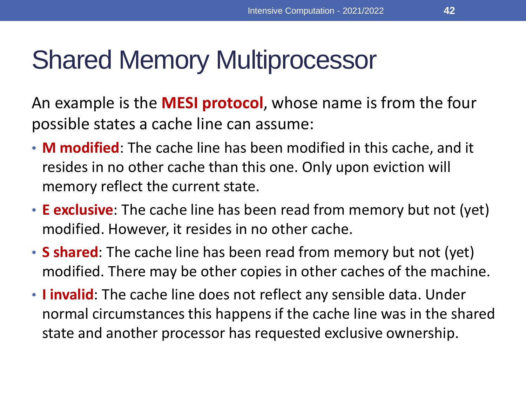An example is the **MESI protocol**, whose name is from the four possible states a cache line can assume:

- **M modified**: The cache line has been modified in this cache, and it resides in no other cache than this one. Only upon eviction will memory reflect the current state.
- **E exclusive**: The cache line has been read from memory but not (yet) modified. However, it resides in no other cache.
- **S shared**: The cache line has been read from memory but not (yet) modified. There may be other copies in other caches of the machine.
- **I invalid**: The cache line does not reflect any sensible data. Under normal circumstances this happens if the cache line was in the shared state and another processor has requested exclusive ownership.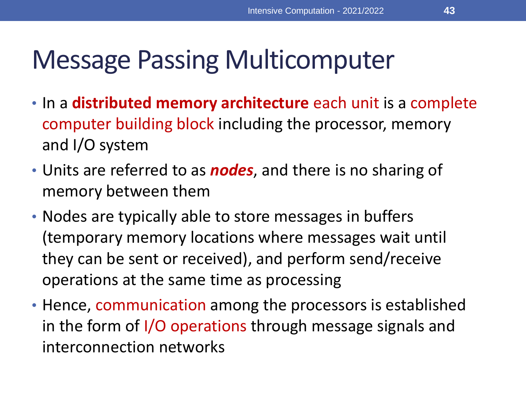## Message Passing Multicomputer

- In a **distributed memory architecture** each unit is a complete computer building block including the processor, memory and I/O system
- Units are referred to as *nodes*, and there is no sharing of memory between them
- Nodes are typically able to store messages in buffers (temporary memory locations where messages wait until they can be sent or received), and perform send/receive operations at the same time as processing
- Hence, communication among the processors is established in the form of I/O operations through message signals and interconnection networks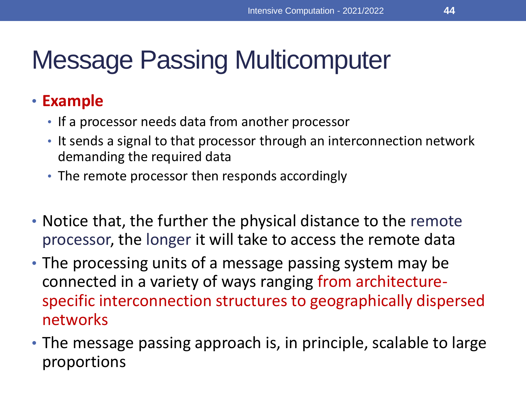## Message Passing Multicomputer

#### • **Example**

- If a processor needs data from another processor
- It sends a signal to that processor through an interconnection network demanding the required data
- The remote processor then responds accordingly
- Notice that, the further the physical distance to the remote processor, the longer it will take to access the remote data
- The processing units of a message passing system may be connected in a variety of ways ranging from architecturespecific interconnection structures to geographically dispersed networks
- The message passing approach is, in principle, scalable to large proportions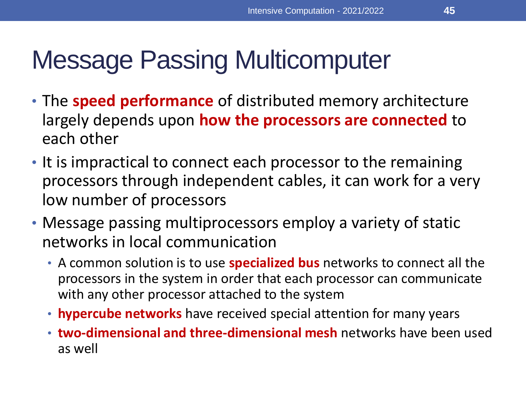## Message Passing Multicomputer

- The **speed performance** of distributed memory architecture largely depends upon **how the processors are connected** to each other
- It is impractical to connect each processor to the remaining processors through independent cables, it can work for a very low number of processors
- Message passing multiprocessors employ a variety of static networks in local communication
	- A common solution is to use **specialized bus** networks to connect all the processors in the system in order that each processor can communicate with any other processor attached to the system
	- **hypercube networks** have received special attention for many years
	- **two-dimensional and three-dimensional mesh** networks have been used as well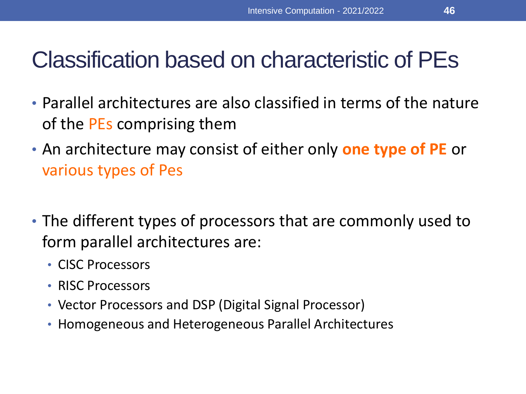### Classification based on characteristic of PEs

- Parallel architectures are also classified in terms of the nature of the PEs comprising them
- An architecture may consist of either only **one type of PE** or various types of Pes
- The different types of processors that are commonly used to form parallel architectures are:
	- CISC Processors
	- RISC Processors
	- Vector Processors and DSP (Digital Signal Processor)
	- Homogeneous and Heterogeneous Parallel Architectures